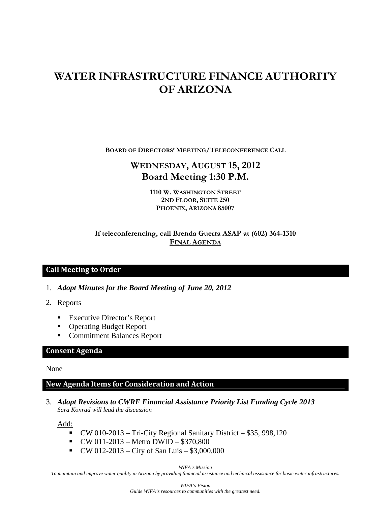# **WATER INFRASTRUCTURE FINANCE AUTHORITY OF ARIZONA**

**BOARD OF DIRECTORS' MEETING/TELECONFERENCE CALL**

# **WEDNESDAY, AUGUST 15, 2012 Board Meeting 1:30 P.M.**

**1110 W. WASHINGTON STREET 2ND FLOOR, SUITE 250 PHOENIX, ARIZONA 85007** 

# **If teleconferencing, call Brenda Guerra ASAP at (602) 364-1310 FINAL AGENDA**

# **Call Meeting to Order**

- 1. *Adopt Minutes for the Board Meeting of June 20, 2012*
- 2. Reports
	- Executive Director's Report
	- **Operating Budget Report**
	- Commitment Balances Report

#### **Consent Agenda**

#### None

#### **New Agenda Items for Consideration and Action**

3. *Adopt Revisions to CWRF Financial Assistance Priority List Funding Cycle 2013 Sara Konrad will lead the discussion*

Add:

- $\bullet$  CW 010-2013 Tri-City Regional Sanitary District \$35, 998,120
- $\bullet$  CW 011-2013 Metro DWID \$370,800
- $\bullet$  CW 012-2013 City of San Luis \$3,000,000

*WIFA's Mission* 

*To maintain and improve water quality in Arizona by providing financial assistance and technical assistance for basic water infrastructures.*